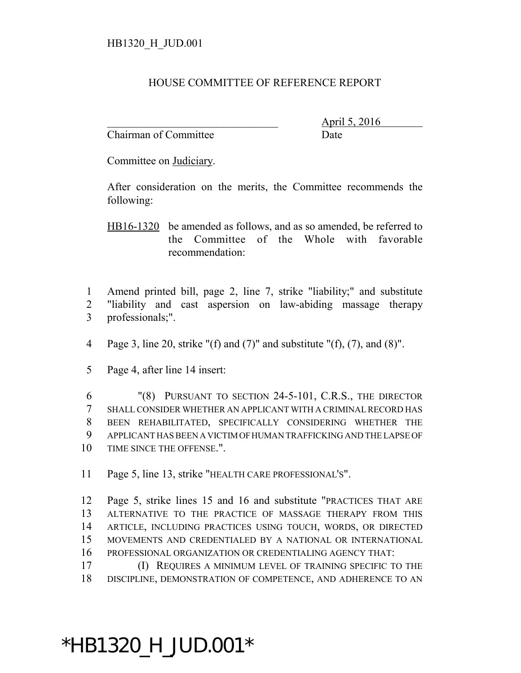## HOUSE COMMITTEE OF REFERENCE REPORT

Chairman of Committee **Date** 

\_\_\_\_\_\_\_\_\_\_\_\_\_\_\_\_\_\_\_\_\_\_\_\_\_\_\_\_\_\_\_ April 5, 2016

Committee on Judiciary.

After consideration on the merits, the Committee recommends the following:

HB16-1320 be amended as follows, and as so amended, be referred to the Committee of the Whole with favorable recommendation:

1 Amend printed bill, page 2, line 7, strike "liability;" and substitute 2 "liability and cast aspersion on law-abiding massage therapy 3 professionals;".

- 4 Page 3, line 20, strike "(f) and (7)" and substitute "(f), (7), and (8)".
- 5 Page 4, after line 14 insert:

 "(8) PURSUANT TO SECTION 24-5-101, C.R.S., THE DIRECTOR SHALL CONSIDER WHETHER AN APPLICANT WITH A CRIMINAL RECORD HAS BEEN REHABILITATED, SPECIFICALLY CONSIDERING WHETHER THE APPLICANT HAS BEEN A VICTIM OF HUMAN TRAFFICKING AND THE LAPSE OF 10 TIME SINCE THE OFFENSE.".

11 Page 5, line 13, strike "HEALTH CARE PROFESSIONAL'S".

 Page 5, strike lines 15 and 16 and substitute "PRACTICES THAT ARE ALTERNATIVE TO THE PRACTICE OF MASSAGE THERAPY FROM THIS ARTICLE, INCLUDING PRACTICES USING TOUCH, WORDS, OR DIRECTED MOVEMENTS AND CREDENTIALED BY A NATIONAL OR INTERNATIONAL PROFESSIONAL ORGANIZATION OR CREDENTIALING AGENCY THAT:

17 (I) REQUIRES A MINIMUM LEVEL OF TRAINING SPECIFIC TO THE 18 DISCIPLINE, DEMONSTRATION OF COMPETENCE, AND ADHERENCE TO AN

## \*HB1320\_H\_JUD.001\*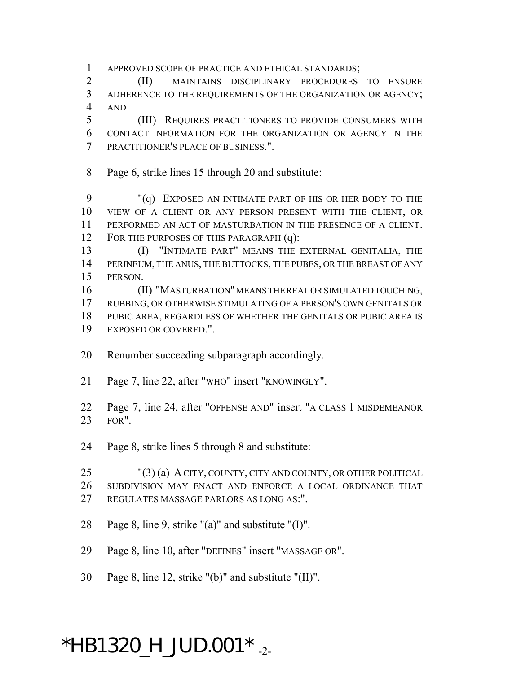APPROVED SCOPE OF PRACTICE AND ETHICAL STANDARDS;

 (II) MAINTAINS DISCIPLINARY PROCEDURES TO ENSURE ADHERENCE TO THE REQUIREMENTS OF THE ORGANIZATION OR AGENCY; AND

 (III) REQUIRES PRACTITIONERS TO PROVIDE CONSUMERS WITH CONTACT INFORMATION FOR THE ORGANIZATION OR AGENCY IN THE PRACTITIONER'S PLACE OF BUSINESS.".

Page 6, strike lines 15 through 20 and substitute:

 "(q) EXPOSED AN INTIMATE PART OF HIS OR HER BODY TO THE VIEW OF A CLIENT OR ANY PERSON PRESENT WITH THE CLIENT, OR PERFORMED AN ACT OF MASTURBATION IN THE PRESENCE OF A CLIENT. 12 FOR THE PURPOSES OF THIS PARAGRAPH (q):

 (I) "INTIMATE PART" MEANS THE EXTERNAL GENITALIA, THE PERINEUM, THE ANUS, THE BUTTOCKS, THE PUBES, OR THE BREAST OF ANY PERSON.

 (II) "MASTURBATION" MEANS THE REAL OR SIMULATED TOUCHING, RUBBING, OR OTHERWISE STIMULATING OF A PERSON'S OWN GENITALS OR PUBIC AREA, REGARDLESS OF WHETHER THE GENITALS OR PUBIC AREA IS EXPOSED OR COVERED.".

- Renumber succeeding subparagraph accordingly.
- Page 7, line 22, after "WHO" insert "KNOWINGLY".
- Page 7, line 24, after "OFFENSE AND" insert "A CLASS 1 MISDEMEANOR FOR".
- Page 8, strike lines 5 through 8 and substitute:

 "(3) (a) A CITY, COUNTY, CITY AND COUNTY, OR OTHER POLITICAL SUBDIVISION MAY ENACT AND ENFORCE A LOCAL ORDINANCE THAT REGULATES MASSAGE PARLORS AS LONG AS:".

- Page 8, line 9, strike "(a)" and substitute "(I)".
- Page 8, line 10, after "DEFINES" insert "MASSAGE OR".
- Page 8, line 12, strike "(b)" and substitute "(II)".

## $*$ HB1320\_H\_JUD.001 $*$ <sub>-2-</sub>